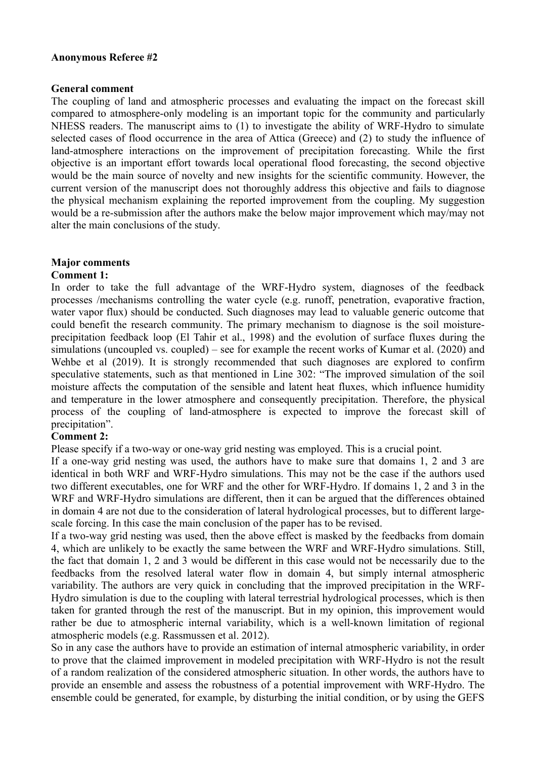#### **Anonymous Referee #2**

#### **General comment**

The coupling of land and atmospheric processes and evaluating the impact on the forecast skill compared to atmosphere-only modeling is an important topic for the community and particularly NHESS readers. The manuscript aims to (1) to investigate the ability of WRF-Hydro to simulate selected cases of flood occurrence in the area of Attica (Greece) and (2) to study the influence of land-atmosphere interactions on the improvement of precipitation forecasting. While the first objective is an important effort towards local operational flood forecasting, the second objective would be the main source of novelty and new insights for the scientific community. However, the current version of the manuscript does not thoroughly address this objective and fails to diagnose the physical mechanism explaining the reported improvement from the coupling. My suggestion would be a re-submission after the authors make the below major improvement which may/may not alter the main conclusions of the study.

# **Major comments**

# **Comment 1:**

In order to take the full advantage of the WRF-Hydro system, diagnoses of the feedback processes /mechanisms controlling the water cycle (e.g. runoff, penetration, evaporative fraction, water vapor flux) should be conducted. Such diagnoses may lead to valuable generic outcome that could benefit the research community. The primary mechanism to diagnose is the soil moistureprecipitation feedback loop (El Tahir et al., 1998) and the evolution of surface fluxes during the simulations (uncoupled vs. coupled) – see for example the recent works of Kumar et al. (2020) and Wehbe et al (2019). It is strongly recommended that such diagnoses are explored to confirm speculative statements, such as that mentioned in Line 302: "The improved simulation of the soil moisture affects the computation of the sensible and latent heat fluxes, which influence humidity and temperature in the lower atmosphere and consequently precipitation. Therefore, the physical process of the coupling of land-atmosphere is expected to improve the forecast skill of precipitation".

# **Comment 2:**

Please specify if a two-way or one-way grid nesting was employed. This is a crucial point.

If a one-way grid nesting was used, the authors have to make sure that domains 1, 2 and 3 are identical in both WRF and WRF-Hydro simulations. This may not be the case if the authors used two different executables, one for WRF and the other for WRF-Hydro. If domains 1, 2 and 3 in the WRF and WRF-Hydro simulations are different, then it can be argued that the differences obtained in domain 4 are not due to the consideration of lateral hydrological processes, but to different largescale forcing. In this case the main conclusion of the paper has to be revised.

If a two-way grid nesting was used, then the above effect is masked by the feedbacks from domain 4, which are unlikely to be exactly the same between the WRF and WRF-Hydro simulations. Still, the fact that domain 1, 2 and 3 would be different in this case would not be necessarily due to the feedbacks from the resolved lateral water flow in domain 4, but simply internal atmospheric variability. The authors are very quick in concluding that the improved precipitation in the WRF-Hydro simulation is due to the coupling with lateral terrestrial hydrological processes, which is then taken for granted through the rest of the manuscript. But in my opinion, this improvement would rather be due to atmospheric internal variability, which is a well-known limitation of regional atmospheric models (e.g. Rassmussen et al. 2012).

So in any case the authors have to provide an estimation of internal atmospheric variability, in order to prove that the claimed improvement in modeled precipitation with WRF-Hydro is not the result of a random realization of the considered atmospheric situation. In other words, the authors have to provide an ensemble and assess the robustness of a potential improvement with WRF-Hydro. The ensemble could be generated, for example, by disturbing the initial condition, or by using the GEFS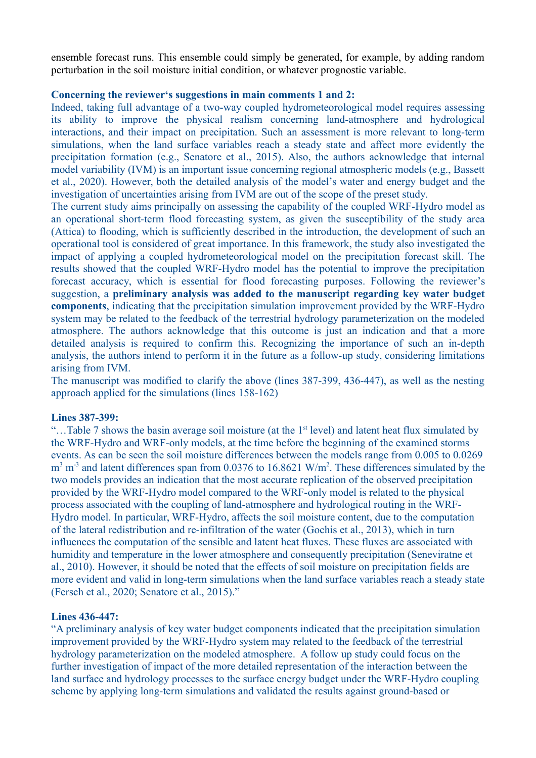ensemble forecast runs. This ensemble could simply be generated, for example, by adding random perturbation in the soil moisture initial condition, or whatever prognostic variable.

# **Concerning the reviewer's suggestions in main comments 1 and 2:**

Indeed, taking full advantage of a two-way coupled hydrometeorological model requires assessing its ability to improve the physical realism concerning land-atmosphere and hydrological interactions, and their impact on precipitation. Such an assessment is more relevant to long-term simulations, when the land surface variables reach a steady state and affect more evidently the precipitation formation (e.g., Senatore et al., 2015). Also, the authors acknowledge that internal model variability (IVM) is an important issue concerning regional atmospheric models (e.g., Bassett et al., 2020). However, both the detailed analysis of the model's water and energy budget and the investigation of uncertainties arising from IVM are out of the scope of the preset study.

The current study aims principally on assessing the capability of the coupled WRF-Hydro model as an operational short-term flood forecasting system, as given the susceptibility of the study area (Attica) to flooding, which is sufficiently described in the introduction, the development of such an operational tool is considered of great importance. In this framework, the study also investigated the impact of applying a coupled hydrometeorological model on the precipitation forecast skill. The results showed that the coupled WRF-Hydro model has the potential to improve the precipitation forecast accuracy, which is essential for flood forecasting purposes. Following the reviewer's suggestion, a **preliminary analysis was added to the manuscript regarding key water budget components**, indicating that the precipitation simulation improvement provided by the WRF-Hydro system may be related to the feedback of the terrestrial hydrology parameterization on the modeled atmosphere. The authors acknowledge that this outcome is just an indication and that a more detailed analysis is required to confirm this. Recognizing the importance of such an in-depth analysis, the authors intend to perform it in the future as a follow-up study, considering limitations arising from IVM.

The manuscript was modified to clarify the above (lines 387-399, 436-447), as well as the nesting approach applied for the simulations (lines 158-162)

#### **Lines 387-399:**

"...Table 7 shows the basin average soil moisture (at the 1<sup>st</sup> level) and latent heat flux simulated by the WRF-Hydro and WRF-only models, at the time before the beginning of the examined storms events. As can be seen the soil moisture differences between the models range from 0.005 to 0.0269  $\text{m}^3$  m<sup>-3</sup> and latent differences span from 0.0376 to 16.8621 W/m<sup>2</sup>. These differences simulated by the two models provides an indication that the most accurate replication of the observed precipitation provided by the WRF-Hydro model compared to the WRF-only model is related to the physical process associated with the coupling of land-atmosphere and hydrological routing in the WRF-Hydro model. In particular, WRF-Hydro, affects the soil moisture content, due to the computation of the lateral redistribution and re-infiltration of the water (Gochis et al., 2013), which in turn influences the computation of the sensible and latent heat fluxes. These fluxes are associated with humidity and temperature in the lower atmosphere and consequently precipitation (Seneviratne et al., 2010). However, it should be noted that the effects of soil moisture on precipitation fields are more evident and valid in long-term simulations when the land surface variables reach a steady state (Fersch et al., 2020; Senatore et al., 2015)."

# **Lines 436-447:**

"A preliminary analysis of key water budget components indicated that the precipitation simulation improvement provided by the WRF-Hydro system may related to the feedback of the terrestrial hydrology parameterization on the modeled atmosphere. A follow up study could focus on the further investigation of impact of the more detailed representation of the interaction between the land surface and hydrology processes to the surface energy budget under the WRF-Hydro coupling scheme by applying long-term simulations and validated the results against ground-based or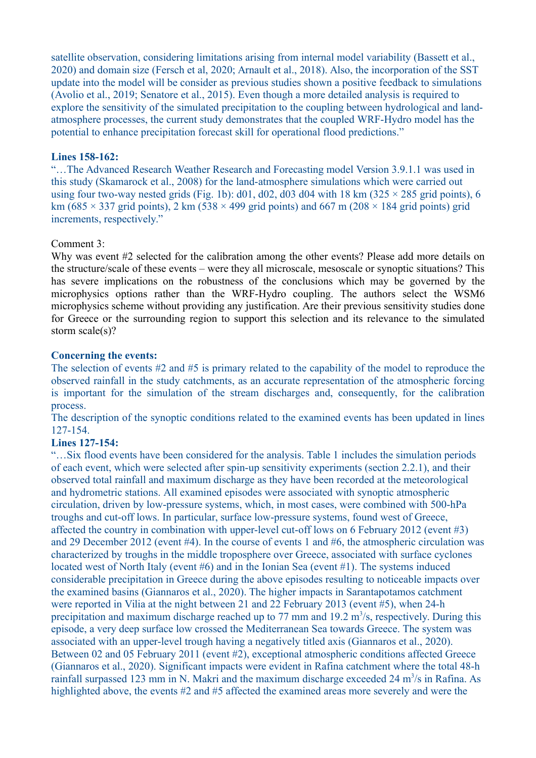satellite observation, considering limitations arising from internal model variability (Bassett et al., 2020) and domain size (Fersch et al, 2020; Arnault et al., 2018). Also, the incorporation of the SST update into the model will be consider as previous studies shown a positive feedback to simulations (Avolio et al., 2019; Senatore et al., 2015). Even though a more detailed analysis is required to explore the sensitivity of the simulated precipitation to the coupling between hydrological and landatmosphere processes, the current study demonstrates that the coupled WRF-Hydro model has the potential to enhance precipitation forecast skill for operational flood predictions."

# **Lines 158-162:**

"…The Advanced Research Weather Research and Forecasting model Version 3.9.1.1 was used in this study (Skamarock et al., 2008) for the land-atmosphere simulations which were carried out using four two-way nested grids (Fig. 1b):  $d01$ ,  $d02$ ,  $d03$   $d04$  with 18 km (325  $\times$  285 grid points), 6 km (685  $\times$  337 grid points), 2 km (538  $\times$  499 grid points) and 667 m (208  $\times$  184 grid points) grid increments, respectively."

# Comment 3:

Why was event #2 selected for the calibration among the other events? Please add more details on the structure/scale of these events – were they all microscale, mesoscale or synoptic situations? This has severe implications on the robustness of the conclusions which may be governed by the microphysics options rather than the WRF-Hydro coupling. The authors select the WSM6 microphysics scheme without providing any justification. Are their previous sensitivity studies done for Greece or the surrounding region to support this selection and its relevance to the simulated storm scale(s)?

# **Concerning the events:**

The selection of events #2 and #5 is primary related to the capability of the model to reproduce the observed rainfall in the study catchments, as an accurate representation of the atmospheric forcing is important for the simulation of the stream discharges and, consequently, for the calibration process.

The description of the synoptic conditions related to the examined events has been updated in lines 127-154.

# **Lines 127-154:**

"…Six flood events have been considered for the analysis. Table 1 includes the simulation periods of each event, which were selected after spin-up sensitivity experiments (section 2.2.1), and their observed total rainfall and maximum discharge as they have been recorded at the meteorological and hydrometric stations. All examined episodes were associated with synoptic atmospheric circulation, driven by low-pressure systems, which, in most cases, were combined with 500-hPa troughs and cut-off lows. In particular, surface low-pressure systems, found west of Greece, affected the country in combination with upper-level cut-off lows on 6 February 2012 (event #3) and 29 December 2012 (event #4). In the course of events 1 and #6, the atmospheric circulation was characterized by troughs in the middle troposphere over Greece, associated with surface cyclones located west of North Italy (event #6) and in the Ionian Sea (event #1). The systems induced considerable precipitation in Greece during the above episodes resulting to noticeable impacts over the examined basins (Giannaros et al., 2020). The higher impacts in Sarantapotamos catchment were reported in Vilia at the night between 21 and 22 February 2013 (event #5), when 24-h precipitation and maximum discharge reached up to 77 mm and 19.2  $\mathrm{m}^3/\mathrm{s}$ , respectively. During this episode, a very deep surface low crossed the Mediterranean Sea towards Greece. The system was associated with an upper-level trough having a negatively titled axis (Giannaros et al., 2020). Between 02 and 05 February 2011 (event #2), exceptional atmospheric conditions affected Greece (Giannaros et al., 2020). Significant impacts were evident in Rafina catchment where the total 48-h rainfall surpassed 123 mm in N. Makri and the maximum discharge exceeded 24  $m<sup>3</sup>/s$  in Rafina. As highlighted above, the events #2 and #5 affected the examined areas more severely and were the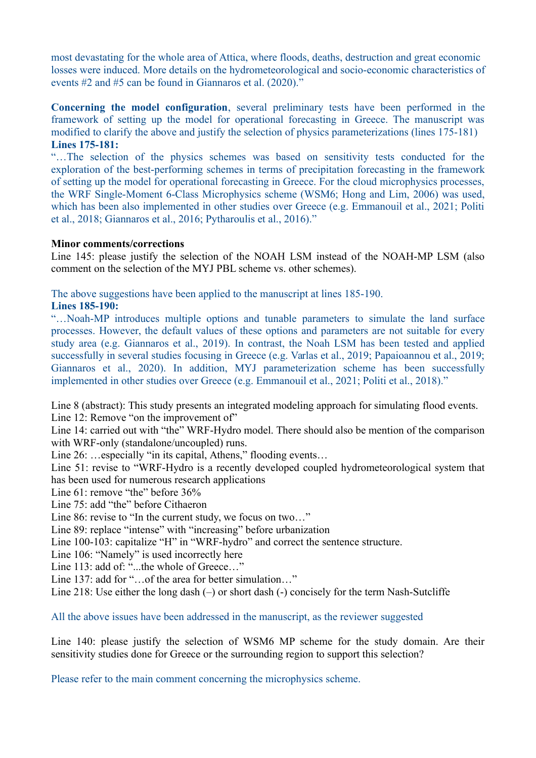most devastating for the whole area of Attica, where floods, deaths, destruction and great economic losses were induced. More details on the hydrometeorological and socio-economic characteristics of events #2 and #5 can be found in Giannaros et al. (2020)."

**Concerning the model configuration**, several preliminary tests have been performed in the framework of setting up the model for operational forecasting in Greece. The manuscript was modified to clarify the above and justify the selection of physics parameterizations (lines 175-181) **Lines 175-181:**

"…The selection of the physics schemes was based on sensitivity tests conducted for the exploration of the best-performing schemes in terms of precipitation forecasting in the framework of setting up the model for operational forecasting in Greece. For the cloud microphysics processes, the WRF Single-Moment 6-Class Microphysics scheme (WSM6; Hong and Lim, 2006) was used, which has been also implemented in other studies over Greece (e.g. Emmanouil et al., 2021; Politi et al., 2018; Giannaros et al., 2016; Pytharoulis et al., 2016)."

# **Minor comments/corrections**

Line 145: please justify the selection of the NOAH LSM instead of the NOAH-MP LSM (also comment on the selection of the MYJ PBL scheme vs. other schemes).

The above suggestions have been applied to the manuscript at lines 185-190.

# **Lines 185-190:**

"…Noah-MP introduces multiple options and tunable parameters to simulate the land surface processes. However, the default values of these options and parameters are not suitable for every study area (e.g. Giannaros et al., 2019). In contrast, the Noah LSM has been tested and applied successfully in several studies focusing in Greece (e.g. Varlas et al., 2019; Papaioannou et al., 2019; Giannaros et al., 2020). In addition, MYJ parameterization scheme has been successfully implemented in other studies over Greece (e.g. Emmanouil et al., 2021; Politi et al., 2018)."

Line 8 (abstract): This study presents an integrated modeling approach for simulating flood events.

Line 12: Remove "on the improvement of"

Line 14: carried out with "the" WRF-Hydro model. There should also be mention of the comparison with WRF-only (standalone/uncoupled) runs.

Line 26: …especially "in its capital, Athens," flooding events...

Line 51: revise to "WRF-Hydro is a recently developed coupled hydrometeorological system that has been used for numerous research applications

Line 61: remove "the" before 36%

Line 75: add "the" before Cithaeron

Line 86: revise to "In the current study, we focus on two…"

Line 89: replace "intense" with "increasing" before urbanization

Line 100-103: capitalize "H" in "WRF-hydro" and correct the sentence structure.

Line 106: "Namely" is used incorrectly here

Line 113: add of: "...the whole of Greece..."

Line 137: add for "... of the area for better simulation..."

Line 218: Use either the long dash (–) or short dash (-) concisely for the term Nash-Sutcliffe

All the above issues have been addressed in the manuscript, as the reviewer suggested

Line 140: please justify the selection of WSM6 MP scheme for the study domain. Are their sensitivity studies done for Greece or the surrounding region to support this selection?

Please refer to the main comment concerning the microphysics scheme.